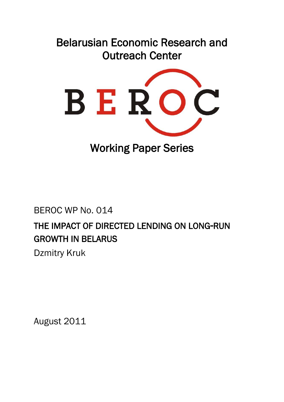# Belarusian Economic Research and Outreach Center



Working Paper Series

# BEROC WP No. 014 THE IMPACT OF DIRECTED LENDING ON LONG-RUN GROWTH IN BELARUS Dzmitry Kruk

August 2011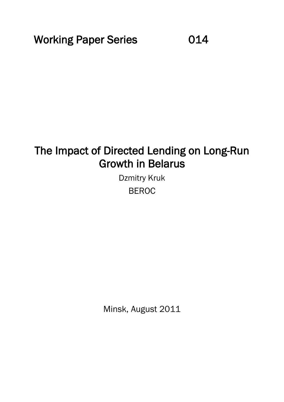Working Paper Series **014** 

# The Impact of Directed Lending on Long-Run Growth in Belarus

Dzmitry Kruk BEROC

Minsk, August 2011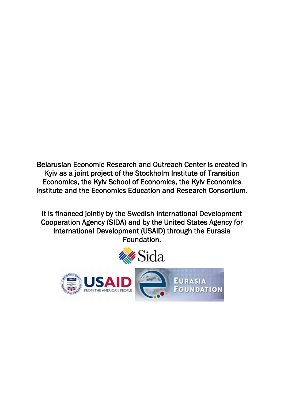Belarusian Economic Research and Outreach Center is created in Kyiv as a joint project of the Stockholm Institute of Transition Economics, the Kyiv School of Economics, the Kyiv Economics Institute and the Economics Education and Research Consortium.

It is financed jointly by the Swedish International Development Cooperation Agency (SIDA) and by the United States Agency for International Development (USAID) through the Eurasia Foundation.

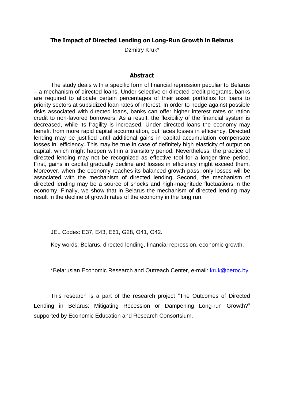#### **The Impact of Directed Lending on Long-Run Growth in Belarus**

Dzmitry Kruk\*

#### **Abstract**

The study deals with a specific form of financial repression peculiar to Belarus – a mechanism of directed loans. Under selective or directed credit programs, banks are required to allocate certain percentages of their asset portfolios for loans to priority sectors at subsidized loan rates of interest. In order to hedge against possible risks associated with directed loans, banks can offer higher interest rates or ration credit to non-favored borrowers. As a result, the flexibility of the financial system is decreased, while its fragility is increased. Under directed loans the economy may benefit from more rapid capital accumulation, but faces losses in efficiency. Directed lending may be justified until additional gains in capital accumulation compensate losses in. efficiency. This may be true in case of definitely high elasticity of output on capital, which might happen within a transitory period. Nevertheless, the practice of directed lending may not be recognized as effective tool for a longer time period. First, gains in capital gradually decline and losses in efficiency might exceed them. Moreover, when the economy reaches its balanced growth pass, only losses will be associated with the mechanism of directed lending. Second, the mechanism of directed lending may be a source of shocks and high-magnitude fluctuations in the economy. Finally, we show that in Belarus the mechanism of directed lending may result in the decline of growth rates of the economy in the long run.

JEL Codes: E37, E43, E61, G28, O41, O42.

Key words: Belarus, directed lending, financial repression, economic growth.

\*Belarusian Economic Research and Outreach Center, e-mail: [kruk@beroc.by](mailto:kruk@beroc.by)

This research is a part of the research project "The Outcomes of Directed Lending in Belarus: Mitigating Recession or Dampening Long-run Growth?" supported by Economic Education and Research Consortsium.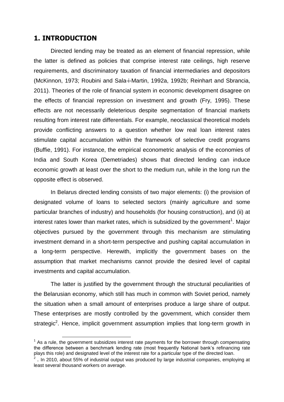### **1. INTRODUCTION**

Directed lending may be treated as an element of financial repression, while the latter is defined as policies that comprise interest rate ceilings, high reserve requirements, and discriminatory taxation of financial intermediaries and depositors (McKinnon, 1973; Roubini and Sala-i-Martin, 1992a, 1992b; Reinhart and Sbrancia, 2011). Theories of the role of financial system in economic development disagree on the effects of financial repression on investment and growth (Fry, 1995). These effects are not necessarily deleterious despite segmentation of financial markets resulting from interest rate differentials. For example, neoclassical theoretical models provide conflicting answers to a question whether low real loan interest rates stimulate capital accumulation within the framework of selective credit programs (Buffie, 1991). For instance, the empirical econometric analysis of the economies of India and South Korea (Demetriades) shows that directed lending can induce economic growth at least over the short to the medium run, while in the long run the opposite effect is observed.

In Belarus directed lending consists of two major elements: (i) the provision of designated volume of loans to selected sectors (mainly agriculture and some particular branches of industry) and households (for housing construction), and (ii) at interest rates lower than market rates, which is subsidized by the government<sup>1</sup>. Major objectives pursued by the government through this mechanism are stimulating investment demand in a short-term perspective and pushing capital accumulation in a long-term perspective. Herewith, implicitly the government bases on the assumption that market mechanisms cannot provide the desired level of capital investments and capital accumulation.

The latter is justified by the government through the structural peculiarities of the Belarusian economy, which still has much in common with Soviet period, namely the situation when a small amount of enterprises produce a large share of output. These enterprises are mostly controlled by the government, which consider them strategic<sup>2</sup>. Hence, implicit government assumption implies that long-term growth in

<sup>1</sup>  $1$  As a rule, the government subsidizes interest rate payments for the borrower through compensating the difference between a benchmark lending rate (most frequently National bank"s refinancing rate plays this role) and designated level of the interest rate for a particular type of the directed loan.

 $2$  . In 2010, about 55% of industrial output was produced by large industrial companies, employing at least several thousand workers on average.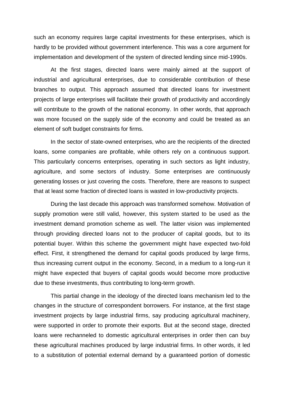such an economy requires large capital investments for these enterprises, which is hardly to be provided without government interference. This was a core argument for implementation and development of the system of directed lending since mid-1990s.

At the first stages, directed loans were mainly aimed at the support of industrial and agricultural enterprises, due to considerable contribution of these branches to output. This approach assumed that directed loans for investment projects of large enterprises will facilitate their growth of productivity and accordingly will contribute to the growth of the national economy. In other words, that approach was more focused on the supply side of the economy and could be treated as an element of soft budget constraints for firms.

In the sector of state-owned enterprises, who are the recipients of the directed loans, some companies are profitable, while others rely on a continuous support. This particularly concerns enterprises, operating in such sectors as light industry, agriculture, and some sectors of industry. Some enterprises are continuously generating losses or just covering the costs. Therefore, there are reasons to suspect that at least some fraction of directed loans is wasted in low-productivity projects.

During the last decade this approach was transformed somehow. Motivation of supply promotion were still valid, however, this system started to be used as the investment demand promotion scheme as well. The latter vision was implemented through providing directed loans not to the producer of capital goods, but to its potential buyer. Within this scheme the government might have expected two-fold effect. First, it strengthened the demand for capital goods produced by large firms, thus increasing current output in the economy. Second, in a medium to a long-run it might have expected that buyers of capital goods would become more productive due to these investments, thus contributing to long-term growth.

This partial change in the ideology of the directed loans mechanism led to the changes in the structure of correspondent borrowers. For instance, at the first stage investment projects by large industrial firms, say producing agricultural machinery, were supported in order to promote their exports. But at the second stage, directed loans were rechanneled to domestic agricultural enterprises in order then can buy these agricultural machines produced by large industrial firms. In other words, it led to a substitution of potential external demand by a guaranteed portion of domestic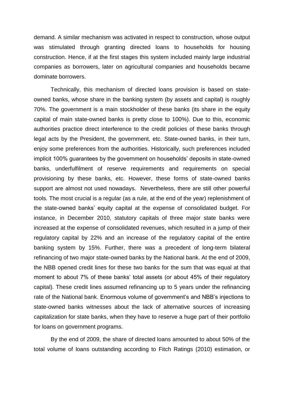demand. A similar mechanism was activated in respect to construction, whose output was stimulated through granting directed loans to households for housing construction. Hence, if at the first stages this system included mainly large industrial companies as borrowers, later on agricultural companies and households became dominate borrowers.

Technically, this mechanism of directed loans provision is based on stateowned banks, whose share in the banking system (by assets and capital) is roughly 70%. The government is a main stockholder of these banks (its share in the equity capital of main state-owned banks is pretty close to 100%). Due to this, economic authorities practice direct interference to the credit policies of these banks through legal acts by the President, the government, etc. State-owned banks, in their turn, enjoy some preferences from the authorities. Historically, such preferences included implicit 100% guarantees by the government on households" deposits in state-owned banks, underfulfilment of reserve requirements and requirements on special provisioning by these banks, etc. However, these forms of state-owned banks support are almost not used nowadays. Nevertheless, there are still other powerful tools. The most crucial is a regular (as a rule, at the end of the year) replenishment of the state-owned banks" equity capital at the expense of consolidated budget. For instance, in December 2010, statutory capitals of three major state banks were increased at the expense of consolidated revenues, which resulted in a jump of their regulatory capital by 22% and an increase of the regulatory capital of the entire banking system by 15%. Further, there was a precedent of long-term bilateral refinancing of two major state-owned banks by the National bank. At the end of 2009, the NBB opened credit lines for these two banks for the sum that was equal at that moment to about 7% of these banks' total assets (or about 45% of their regulatory capital). These credit lines assumed refinancing up to 5 years under the refinancing rate of the National bank. Enormous volume of government's and NBB's injections to state-owned banks witnesses about the lack of alternative sources of increasing capitalization for state banks, when they have to reserve a huge part of their portfolio for loans on government programs.

By the end of 2009, the share of directed loans amounted to about 50% of the total volume of loans outstanding according to Fitch Ratings (2010) estimation, or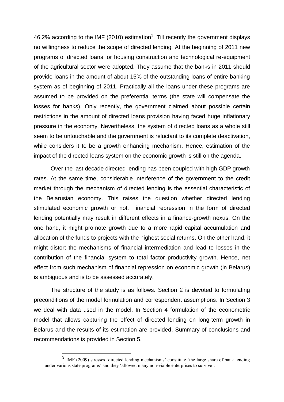46.2% according to the IMF (2010) estimation<sup>3</sup>. Till recently the government displays no willingness to reduce the scope of directed lending. At the beginning of 2011 new programs of directed loans for housing construction and technological re-equipment of the agricultural sector were adopted. They assume that the banks in 2011 should provide loans in the amount of about 15% of the outstanding loans of entire banking system as of beginning of 2011. Practically all the loans under these programs are assumed to be provided on the preferential terms (the state will compensate the losses for banks). Only recently, the government claimed about possible certain restrictions in the amount of directed loans provision having faced huge inflationary pressure in the economy. Nevertheless, the system of directed loans as a whole still seem to be untouchable and the government is reluctant to its complete deactivation, while considers it to be a growth enhancing mechanism. Hence, estimation of the impact of the directed loans system on the economic growth is still on the agenda.

Over the last decade directed lending has been coupled with high GDP growth rates. At the same time, considerable interference of the government to the credit market through the mechanism of directed lending is the essential characteristic of the Belarusian economy. This raises the question whether directed lending stimulated economic growth or not. Financial repression in the form of directed lending potentially may result in different effects in a finance-growth nexus. On the one hand, it might promote growth due to a more rapid capital accumulation and allocation of the funds to projects with the highest social returns. On the other hand, it might distort the mechanisms of financial intermediation and lead to losses in the contribution of the financial system to total factor productivity growth. Hence, net effect from such mechanism of financial repression on economic growth (in Belarus) is ambiguous and is to be assessed accurately.

The structure of the study is as follows. Section 2 is devoted to formulating preconditions of the model formulation and correspondent assumptions. In Section 3 we deal with data used in the model. In Section 4 formulation of the econometric model that allows capturing the effect of directed lending on long-term growth in Belarus and the results of its estimation are provided. Summary of conclusions and recommendations is provided in Section 5.

<sup>&</sup>lt;sup>3</sup> IMF (2009) stresses 'directed lending mechanisms' constitute 'the large share of bank lending under various state programs' and they 'allowed many non-viable enterprises to survive'.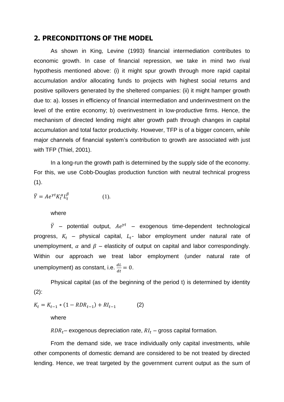### **2. PRECONDITIONS OF THE MODEL**

As shown in King, Levine (1993) financial intermediation contributes to economic growth. In case of financial repression, we take in mind two rival hypothesis mentioned above: (i) it might spur growth through more rapid capital accumulation and/or allocating funds to projects with highest social returns and positive spillovers generated by the sheltered companies: (ii) it might hamper growth due to: a). losses in efficiency of financial intermediation and underinvestment on the level of the entire economy; b) overinvestment in low-productive firms. Hence, the mechanism of directed lending might alter growth path through changes in capital accumulation and total factor productivity. However, TFP is of a bigger concern, while major channels of financial system's contribution to growth are associated with just with TFP (Thiel, 2001).

In a long-run the growth path is determined by the supply side of the economy. For this, we use Cobb-Douglas production function with neutral technical progress  $(1).$ 

$$
\overline{Y} = Ae^{\gamma t} K_t^{\alpha} L_t^{\beta} \tag{1}
$$

#### where

 $\bar{Y}$  – potential output,  $Ae^{\gamma t}$  – exogenous time-dependent technological progress,  $K_t$  – physical capital,  $L_t$ - labor employment under natural rate of unemployment,  $\alpha$  and  $\beta$  – elasticity of output on capital and labor correspondingly. Within our approach we treat labor employment (under natural rate of unemployment) as constant, i.e.  $\frac{dx}{dt} = 0$ .

Physical capital (as of the beginning of the period t) is determined by identity  $(2)$ :

$$
K_t = K_{t-1} * (1 - RDR_{t-1}) + RI_{t-1}
$$
 (2)

where

 $RDR_t$  – exogenous depreciation rate,  $RI_t$  – gross capital formation.

From the demand side, we trace individually only capital investments, while other components of domestic demand are considered to be not treated by directed lending. Hence, we treat targeted by the government current output as the sum of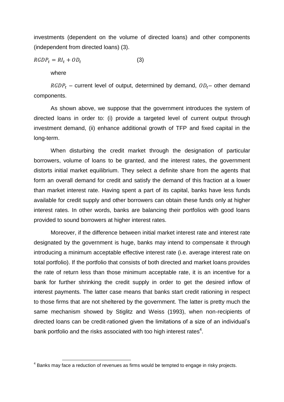investments (dependent on the volume of directed loans) and other components (independent from directed loans) (3).

$$
RGDP_t = RI_t + OD_t \tag{3}
$$

where

 $RGDP_t$  – current level of output, determined by demand,  $OD_t$ – other demand components.

As shown above, we suppose that the government introduces the system of directed loans in order to: (i) provide a targeted level of current output through investment demand, (ii) enhance additional growth of TFP and fixed capital in the long-term.

When disturbing the credit market through the designation of particular borrowers, volume of loans to be granted, and the interest rates, the government distorts initial market equilibrium. They select a definite share from the agents that form an overall demand for credit and satisfy the demand of this fraction at a lower than market interest rate. Having spent a part of its capital, banks have less funds available for credit supply and other borrowers can obtain these funds only at higher interest rates. In other words, banks are balancing their portfolios with good loans provided to sound borrowers at higher interest rates.

Moreover, if the difference between initial market interest rate and interest rate designated by the government is huge, banks may intend to compensate it through introducing a minimum acceptable effective interest rate (i.e. average interest rate on total portfolio). If the portfolio that consists of both directed and market loans provides the rate of return less than those minimum acceptable rate, it is an incentive for a bank for further shrinking the credit supply in order to get the desired inflow of interest payments. The latter case means that banks start credit rationing in respect to those firms that are not sheltered by the government. The latter is pretty much the same mechanism showed by Stiglitz and Weiss (1993), when non-recipients of directed loans can be credit-rationed given the limitations of a size of an individual"s bank portfolio and the risks associated with too high interest rates $^4$ .

 4 Banks may face a reduction of revenues as firms would be tempted to engage in risky projects.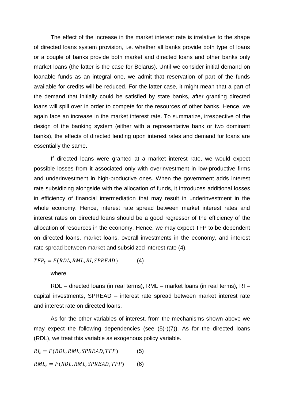The effect of the increase in the market interest rate is irrelative to the shape of directed loans system provision, i.e. whether all banks provide both type of loans or a couple of banks provide both market and directed loans and other banks only market loans (the latter is the case for Belarus). Until we consider initial demand on loanable funds as an integral one, we admit that reservation of part of the funds available for credits will be reduced. For the latter case, it might mean that a part of the demand that initially could be satisfied by state banks, after granting directed loans will spill over in order to compete for the resources of other banks. Hence, we again face an increase in the market interest rate. To summarize, irrespective of the design of the banking system (either with a representative bank or two dominant banks), the effects of directed lending upon interest rates and demand for loans are essentially the same.

If directed loans were granted at a market interest rate, we would expect possible losses from it associated only with overinvestment in low-productive firms and underinvestment in high-productive ones. When the government adds interest rate subsidizing alongside with the allocation of funds, it introduces additional losses in efficiency of financial intermediation that may result in underinvestment in the whole economy. Hence, interest rate spread between market interest rates and interest rates on directed loans should be a good regressor of the efficiency of the allocation of resources in the economy. Hence, we may expect TFP to be dependent on directed loans, market loans, overall investments in the economy, and interest rate spread between market and subsidized interest rate (4).

$$
TFP_t = F(RDL, RML, RI, SPREAD) \tag{4}
$$

where

RDL – directed loans (in real terms), RML – market loans (in real terms), RI – capital investments, SPREAD – interest rate spread between market interest rate and interest rate on directed loans.

As for the other variables of interest, from the mechanisms shown above we may expect the following dependencies (see (5)-)(7)). As for the directed loans (RDL), we treat this variable as exogenous policy variable.

 $RI_t = F(RDL, RML, SPREAD, TFP)$  (5)

$$
RML_t = F(RDL, RML, SPREAD, TFP)
$$
 (6)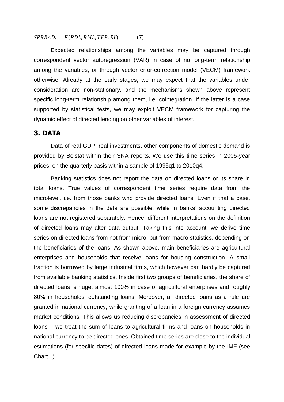$SPREAD_t = F(RDL, RML, TFP, RI)$  (7)

Expected relationships among the variables may be captured through correspondent vector autoregression (VAR) in case of no long-term relationship among the variables, or through vector error-correction model (VECM) framework otherwise. Already at the early stages, we may expect that the variables under consideration are non-stationary, and the mechanisms shown above represent specific long-term relationship among them, i.e. cointegration. If the latter is a case supported by statistical tests, we may exploit VECM framework for capturing the dynamic effect of directed lending on other variables of interest.

### **3. DATA**

Data of real GDP, real investments, other components of domestic demand is provided by Belstat within their SNA reports. We use this time series in 2005-year prices, on the quarterly basis within a sample of 1995q1 to 2010q4.

Banking statistics does not report the data on directed loans or its share in total loans. True values of correspondent time series require data from the microlevel, i.e. from those banks who provide directed loans. Even if that a case, some discrepancies in the data are possible, while in banks' accounting directed loans are not registered separately. Hence, different interpretations on the definition of directed loans may alter data output. Taking this into account, we derive time series on directed loans from not from micro, but from macro statistics, depending on the beneficiaries of the loans. As shown above, main beneficiaries are agricultural enterprises and households that receive loans for housing construction. A small fraction is borrowed by large industrial firms, which however can hardly be captured from available banking statistics. Inside first two groups of beneficiaries, the share of directed loans is huge: almost 100% in case of agricultural enterprises and roughly 80% in households" outstanding loans. Moreover, all directed loans as a rule are granted in national currency, while granting of a loan in a foreign currency assumes market conditions. This allows us reducing discrepancies in assessment of directed loans – we treat the sum of loans to agricultural firms and loans on households in national currency to be directed ones. Obtained time series are close to the individual estimations (for specific dates) of directed loans made for example by the IMF (see Chart 1).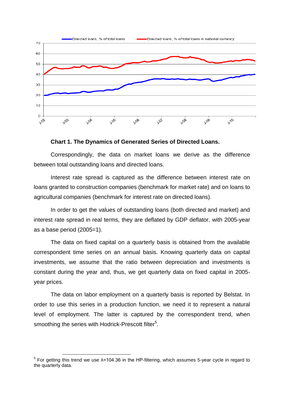



Correspondingly, the data on market loans we derive as the difference between total outstanding loans and directed loans.

Interest rate spread is captured as the difference between interest rate on loans granted to construction companies (benchmark for market rate) and on loans to agricultural companies (benchmark for interest rate on directed loans).

In order to get the values of outstanding loans (both directed and market) and interest rate spread in real terms, they are deflated by GDP deflator, with 2005-year as a base period (2005=1).

The data on fixed capital on a quarterly basis is obtained from the available correspondent time series on an annual basis. Knowing quarterly data on capital investments, we assume that the ratio between depreciation and investments is constant during the year and, thus, we get quarterly data on fixed capital in 2005 year prices.

The data on labor employment on a quarterly basis is reported by Belstat. In order to use this series in a production function, we need it to represent a natural level of employment. The latter is captured by the correspondent trend, when smoothing the series with Hodrick-Prescott filter<sup>5</sup>.

1

<sup>&</sup>lt;sup>5</sup> For getting this trend we use λ=104.36 in the HP-filtering, which assumes 5-year cycle in regard to the quarterly data.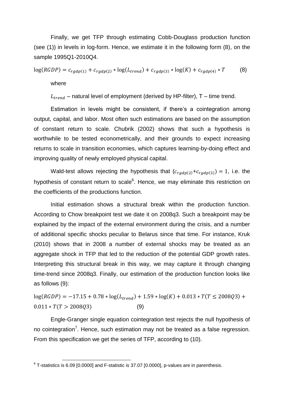Finally, we get TFP through estimating Cobb-Douglass production function (see (1)) in levels in log-form. Hence, we estimate it in the following form (8), on the sample 1995Q1-2010Q4.

$$
log(RGDP) = c_{rgdp(1)} + c_{rgdp(2)} * log(L_{trend}) + c_{rgdp(3)} * log(K) + c_{rgdp(4)} * T
$$
 (8)

where

 $L_{trend}$  – natural level of employment (derived by HP-filter), T – time trend.

Estimation in levels might be consistent, if there"s a cointegration among output, capital, and labor. Most often such estimations are based on the assumption of constant return to scale. Chubrik (2002) shows that such a hypothesis is worthwhile to be tested econometrically, and their grounds to expect increasing returns to scale in transition economies, which captures learning-by-doing effect and improving quality of newly employed physical capital.

Wald-test allows rejecting the hypothesis that  $(c_{radn(2)}+c_{radn(3)})=1$ , i.e. the hypothesis of constant return to scale<sup>6</sup>. Hence, we may eliminate this restriction on the coefficients of the productions function.

Initial estimation shows a structural break within the production function. According to Chow breakpoint test we date it on 2008q3. Such a breakpoint may be explained by the impact of the external environment during the crisis, and a number of additional specific shocks peculiar to Belarus since that time. For instance, Kruk (2010) shows that in 2008 a number of external shocks may be treated as an aggregate shock in TFP that led to the reduction of the potential GDP growth rates. Interpreting this structural break in this way, we may capture it through changing time-trend since 2008q3. Finally, our estimation of the production function looks like as follows (9):

 $log(RGDP) = -17.15 + 0.78 * log(L_{trend}) + 1.59 * log(K) + 0.013 * T(T \le 2008Q3) +$  $0.011 * T(T > 200803)$  (9)

Engle-Granger single equation cointegration test rejects the null hypothesis of no cointegration<sup>7</sup>. Hence, such estimation may not be treated as a false regression. From this specification we get the series of TFP, according to (10).

 6 T-statistics is 6.09 [0.0000] and F-statistic is 37.07 [0.0000], p-values are in parenthesis.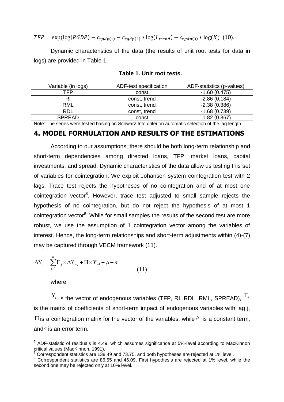$TFP = \exp(\log(RGDP) - c_{rgdp(1)} - c_{rgdp(2)} * \log(L_{trend}) - c_{rgdp(3)} * \log(K)$  (10).

Dynamic characteristics of the data (the results of unit root tests for data in logs) are provided in Table 1.

| Variable (in logs) | ADF-test specification | ADF-statistics (p-values) |
|--------------------|------------------------|---------------------------|
| TFP                | const                  | $-1.60(0.475)$            |
| RI                 | const, trend           | $-2.86(0.184)$            |
| <b>RML</b>         | const, trend           | $-2.38(0.386)$            |
| RDL                | const, trend           | $-1.68(0.739)$            |
| <b>SPREAD</b>      | const                  | $-1.82(0.367)$            |

#### **Table 1. Unit root tests.**

Note: The series were tested basing on Schwarz Info criterion automatic selection of the lag length.

#### **4. MODEL FORMULATION AND RESULTS OF THE ESTIMATIONS**

According to our assumptions, there should be both long-term relationship and short-term dependencies among directed loans, TFP, market loans, capital investments, and spread. Dynamic characteristics of the data allow us testing this set of variables for cointegration. We exploit Johansen system cointegration test with 2 lags. Trace test rejects the hypotheses of no cointegration and of at most one cointegration vector<sup>8</sup>. However, trace test adjusted to small sample rejects the hypothesis of no cointegration, but do not reject the hypothesis of at most 1 cointegration vector<sup>9</sup>. While for small samples the results of the second test are more robust, we use the assumption of 1 cointegration vector among the variables of interest. Hence, the long-term relationships and short-term adjustments within (4)-(7) may be captured through VECM framework (11).

$$
\Delta Y_{t} = \sum_{j=1}^{n} \Gamma_{j} \times \Delta Y_{t-j} + \Pi \times Y_{t-1} + \mu + \varepsilon
$$
\n(11)

where

1

 $Y_{i}$  is the vector of endogenous variables (TFP, RI, RDL, RML, SPREAD),  $^{\Gamma_{j}}$ is the matrix of coefficients of short-term impact of endogenous variables with lag j,  $\Pi$  is a cointegration matrix for the vector of the variables; while  $^{\mu}$  is a constant term, and  $\varepsilon$  is an error term.

<sup>&</sup>lt;sup>7</sup> ADF-statistic of residuals is 4.49, which assumes significance at 5%-level according to MacKinnon critical values (MacKinnon, 1991).

<sup>8</sup> Correspondent statistics are 138.49 and 73.75, and both hypotheses are rejected at 1% level.

<sup>&</sup>lt;sup>9</sup> Correspondent statistics are 86.55 and 46.09. First hypothesis are rejected at 1% level, while the second one may be rejected only at 10% level.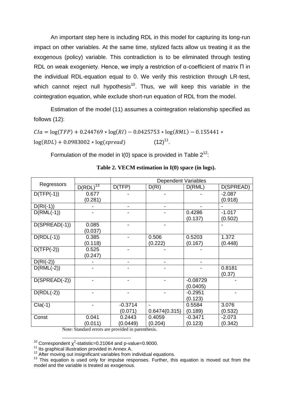An important step here is including RDL in this model for capturing its long-run impact on other variables. At the same time, stylized facts allow us treating it as the exogenous (policy) variable. This contradiction is to be eliminated through testing RDL on weak exogeniety. Hence, we imply a restriction of α-coefficient of matrix П in the individual RDL-equation equal to 0. We verify this restriction through LR-test, which cannot reject null hypothesis<sup>10</sup>. Thus, we will keep this variable in the cointegration equation, while exclude short-run equation of RDL from the model.

Estimation of the model (11) assumes a cointegration relationship specified as follows (12):

 $C I a = \log(TFP) + 0.244769 * \log(RI) - 0.0425753 * \log(RML) - 0.155441 *$  $log(RDL) + 0.0983002 * log(spread)$  $(12)^{11}$ .

Formulation of the model in  $I(0)$  space is provided in Table  $2^{12}$ .

| Regressors      |               | <b>Dependent Variables</b> |               |            |           |
|-----------------|---------------|----------------------------|---------------|------------|-----------|
|                 | $D(RDL)^{13}$ | D(TFP)                     | D(RI)         | D(RML)     | D(SPREAD) |
| $D(TFP(-1))$    | 0.677         |                            |               |            | $-2.087$  |
|                 | (0.281)       |                            |               |            | (0.918)   |
| $D(RI(-1))$     |               | $\blacksquare$             | -             | -          |           |
| $D(RML(-1))$    |               |                            |               | 0.4286     | $-1.017$  |
|                 |               |                            |               | (0.137)    | (0.502)   |
| $D(SPREAD(-1))$ | 0.085         |                            |               |            |           |
|                 | (0.037)       |                            |               |            |           |
| $D(RDL(-1))$    | 0.385         |                            | 0.506         | 0.5203     | 1.372     |
|                 | (0.118)       |                            | (0.222)       | (0.167)    | (0.448)   |
| $D(TFP(-2))$    | 0.525         |                            |               |            |           |
|                 | (0.247)       |                            |               |            |           |
| $D(RI(-2))$     |               |                            |               |            |           |
| $D(RML(-2))$    |               |                            |               |            | 0.8181    |
|                 |               |                            |               |            | (0.37)    |
| $D(SPREAD(-2))$ |               |                            |               | $-0.08729$ |           |
|                 |               |                            |               | (0.0405)   |           |
| $D(RDL(-2))$    |               |                            |               | $-0.2951$  |           |
|                 |               |                            |               | (0.123)    |           |
| $Cla(-1)$       |               | $-0.3714$                  |               | 0.5584     | 3.076     |
|                 |               | (0.071)                    | 0.6474(0.315) | (0.189)    | (0.532)   |
| Const           | 0.041         | 0.2443                     | 0.4059        | $-0.3471$  | $-2.073$  |
|                 | (0.011)       | (0.0449)                   | (0.204)       | (0.123)    | (0.342)   |

**Table 2. VECM estimation in I(0) space (in logs).**

Note: Standard errors are provided in parenthesis.

<sup>1</sup> <sup>10</sup> Correspondent  $\chi^2$ -statistic=0.21064 and p-value=0.9000.

 $11$  Its graphical illustration provided in Annex A.

 $12$  After moving out insignificant variables from individual equations.

<sup>13</sup> This equation is used only for impulse responses. Further, this equation is moved out from the model and the variable is treated as exogenous.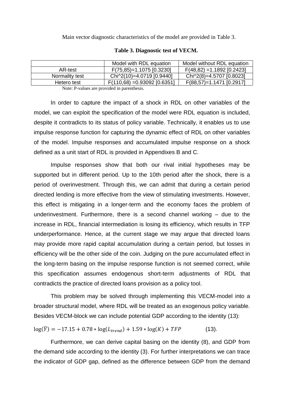Main vector diagnostic characteristics of the model are provided in Table 3.

|                | Model with RDL equation        | Model without RDL equation   |
|----------------|--------------------------------|------------------------------|
| AR-test        | $F(75,85)=1.1075$ [0.3230]     | $F(48,82) = 1.1892 [0.2423]$ |
| Normality test | Chi^2(10)=4.0719 [0.9440]      | Chi^2(8)=4.5707 [0.8023]     |
| Hetero test    | $F(110,68) = 0.93092$ [0.6351] | $F(88,57)=1.1471$ [0.2917]   |
|                |                                |                              |

#### **Table 3. Diagnostic test of VECM.**

Note: P-values are provided in parenthesis.

In order to capture the impact of a shock in RDL on other variables of the model, we can exploit the specification of the model were RDL equation is included, despite it contradicts to its status of policy variable. Technically, it enables us to use impulse response function for capturing the dynamic effect of RDL on other variables of the model. Impulse responses and accumulated impulse response on a shock defined as a unit start of RDL is provided in Appendixes B and C.

Impulse responses show that both our rival initial hypotheses may be supported but in different period. Up to the 10th period after the shock, there is a period of overinvestment. Through this, we can admit that during a certain period directed lending is more effective from the view of stimulating investments. However, this effect is mitigating in a longer-term and the economy faces the problem of underinvestment. Furthermore, there is a second channel working – due to the increase in RDL, financial intermediation is losing its efficiency, which results in TFP underperformance. Hence, at the current stage we may argue that directed loans may provide more rapid capital accumulation during a certain period, but losses in efficiency will be the other side of the coin. Judging on the pure accumulated effect in the long-term basing on the impulse response function is not seemed correct, while this specification assumes endogenous short-term adjustments of RDL that contradicts the practice of directed loans provision as a policy tool.

This problem may be solved through implementing this VECM-model into a broader structural model, where RDL will be treated as an exogenous policy variable. Besides VECM-block we can include potential GDP according to the identity (13):

$$
\log(\bar{Y}) = -17.15 + 0.78 * \log(L_{trend}) + 1.59 * \log(K) + TFP
$$
 (13).

Furthermore, we can derive capital basing on the identity (8), and GDP from the demand side according to the identity (3). For further interpretations we can trace the indicator of GDP gap, defined as the difference between GDP from the demand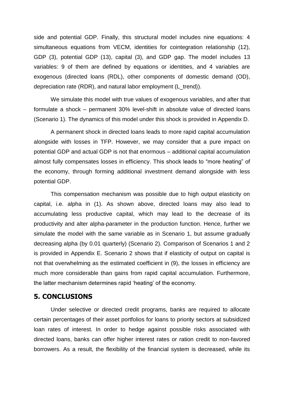side and potential GDP. Finally, this structural model includes nine equations: 4 simultaneous equations from VECM, identities for cointegration relationship (12), GDP (3), potential GDP (13), capital (3), and GDP gap. The model includes 13 variables: 9 of them are defined by equations or identities, and 4 variables are exogenous (directed loans (RDL), other components of domestic demand (OD), depreciation rate (RDR), and natural labor employment (L\_trend)).

We simulate this model with true values of exogenous variables, and after that formulate a shock – permanent 30% level-shift in absolute value of directed loans (Scenario 1). The dynamics of this model under this shock is provided in Appendix D.

A permanent shock in directed loans leads to more rapid capital accumulation alongside with losses in TFP. However, we may consider that a pure impact on potential GDP and actual GDP is not that enormous – additional capital accumulation almost fully compensates losses in efficiency. This shock leads to "more heating" of the economy, through forming additional investment demand alongside with less potential GDP.

This compensation mechanism was possible due to high output elasticity on capital, i.e. alpha in (1). As shown above, directed loans may also lead to accumulating less productive capital, which may lead to the decrease of its productivity and alter alpha-parameter in the production function. Hence, further we simulate the model with the same variable as in Scenario 1, but assume gradually decreasing alpha (by 0.01 quarterly) (Scenario 2). Comparison of Scenarios 1 and 2 is provided in Appendix E. Scenario 2 shows that if elasticity of output on capital is not that overwhelming as the estimated coefficient in (9), the losses in efficiency are much more considerable than gains from rapid capital accumulation. Furthermore, the latter mechanism determines rapid "heating" of the economy.

#### **5. CONCLUSIONS**

Under selective or directed credit programs, banks are required to allocate certain percentages of their asset portfolios for loans to priority sectors at subsidized loan rates of interest. In order to hedge against possible risks associated with directed loans, banks can offer higher interest rates or ration credit to non-favored borrowers. As a result, the flexibility of the financial system is decreased, while its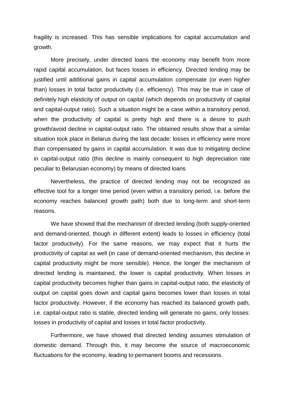fragility is increased. This has sensible implications for capital accumulation and growth.

More precisely, under directed loans the economy may benefit from more rapid capital accumulation, but faces losses in efficiency. Directed lending may be justified until additional gains in capital accumulation compensate (or even higher than) losses in total factor productivity (i.e. efficiency). This may be true in case of definitely high elasticity of output on capital (which depends on productivity of capital and capital-output ratio). Such a situation might be a case within a transitory period, when the productivity of capital is pretty high and there is a desire to push growth/avoid decline in capital-output ratio. The obtained results show that a similar situation took place in Belarus during the last decade: losses in efficiency were more than compensated by gains in capital accumulation. It was due to mitigating decline in capital-output ratio (this decline is mainly consequent to high depreciation rate peculiar to Belarusian economy) by means of directed loans

Nevertheless, the practice of directed lending may not be recognized as effective tool for a longer time period (even within a transitory period, i.e. before the economy reaches balanced growth path) both due to long-term and short-term reasons.

We have showed that the mechanism of directed lending (both supply-oriented and demand-oriented, though in different extent) leads to losses in efficiency (total factor productivity). For the same reasons, we may expect that it hurts the productivity of capital as well (in case of demand-oriented mechanism, this decline in capital productivity might be more sensible). Hence, the longer the mechanism of directed lending is maintained, the lower is capital productivity. When losses in capital productivity becomes higher than gains in capital-output ratio, the elasticity of output on capital goes down and capital gains becomes lower than losses in total factor productivity. However, if the economy has reached its balanced growth path, i.e. capital-output ratio is stable, directed lending will generate no gains, only losses: losses in productivity of capital and losses in total factor productivity.

Furthermore, we have showed that directed lending assumes stimulation of domestic demand. Through this, it may become the source of macroeconomic fluctuations for the economy, leading to permanent booms and recessions.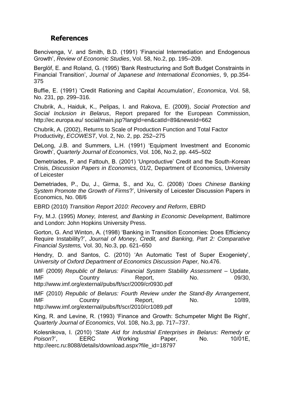## **References**

Bencivenga, V. and Smith, B.D. (1991) "Financial Intermediation and Endogenous Growth", *Review of Economic Studies*, Vol. 58, No.2, pp. 195–209.

Berglöf, E. and Roland, G. (1995) "Bank Restructuring and Soft Budget Constraints in Financial Transition", *Journal of Japanese and International Economies*, 9, pp.354- 375

Buffie, E. (1991) "Credit Rationing and Capital Accumulation", *Economica*, Vol. 58, No. 231, pp. 299–316.

Chubrik, A., Haiduk, K., Pelipas, I. and Rakova, E. (2009), *Social Protection and Social Inclusion in Belarus*, Report prepared for the European Commission, http://ec.europa.eu/ social/main.jsp?langId=en&catId=89&newsId=662

Chubrik, A. (2002), Returns to Scale of Production Function and Total Factor Productivity, *ECOWEST*, Vol. 2, No. 2, pp. 252–275

DeLong, J.B. and Summers, L.H. (1991) "Equipment Investment and Economic Growth", *Quarterly Journal of Economics*, Vol. 106, No.2, pp. 445–502

Demetriades, P. and Fattouh, B. (2001) "Unproductive" Credit and the South-Korean Crisis, *Discussion Papers in Economics*, 01/2, Department of Economics, University of Leicester

Demetriades, P., Du, J., Girma, S., and Xu, C. (2008) "*Does Chinese Banking System Promote the Growth of Firms*?", University of Leicester Discussion Papers in Economics, No. 08/6

EBRD (2010) *Transition Report 2010: Recovery and Reform*, EBRD

Fry, M.J. (1995) *Money, Interest, and Banking in Economic Development*, Baltimore and London: John Hopkins University Press.

Gorton, G. And Winton, A. (1998) "Banking in Transition Economies: Does Efficiency Require Instability?", *Journal of Money, Credit, and Banking, Part 2: Comparative Financial Systems,* Vol. 30, No.3, pp. 621–650

Hendry, D. and Santos, C. (2010) "An Automatic Test of Super Exogeniety", *University of Oxford Department of Economics Discussion Paper,* No.476.

IMF (2009) *Republic of Belarus: Financial System Stability Assessment* – Update, IMF Country Report, No. 09/30, http://www.imf.org/external/pubs/ft/scr/2009/cr0930.pdf

IMF (2010) *Republic of Belarus: Fourth Review under the Stand-By Arrangement*, IMF Country Report, No. 10/89, http://www.imf.org/external/pubs/ft/scr/2010/cr1089.pdf

King, R. and Levine, R. (1993) "Finance and Growth: Schumpeter Might Be Right", *Quarterly Journal of Economics*, Vol. 108, No.3, pp. 717–737.

Kolesnikova, I. (2010) "*State Aid for Industrial Enterprises in Belarus: Remedy or*  Poison?', EERC Working Paper, No. 10/01E, http://eerc.ru:8088/details/download.aspx?file\_id=18797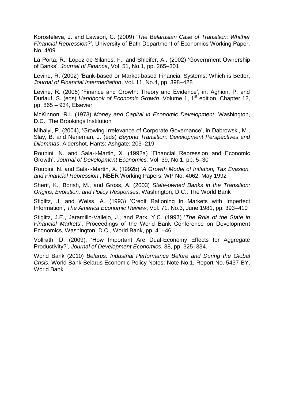Korosteleva, J. and Lawson, C. (2009) "*The Belarusian Case of Transition: Whither Financial Repression*?", University of Bath Department of Economics Working Paper, No. 4/09

La Porta, R., López-de-Silanes, F., and Shleifer, A.. (2002) "Government Ownership of Banks", *Journal of Finance*, Vol. 51, No.1, pp. 265–301

Levine, R. (2002) "Bank-based or Market-based Financial Systems: Which is Better, *Journal of Financial Intermediation*, Vol. 11, No.4, pp. 398–428

Levine, R. (2005) "Finance and Growth: Theory and Evidence", in: Aghion, P. and Durlauf, S. (eds) *Handbook of Economic Growth*, Volume 1, 1<sup>st</sup> edition, Chapter 12, pp. 865 – 934, Elsevier

McKinnon, R.I. (1973) *Money and Capital in Economic Development*, Washington, D.C.: The Brookings Institution

Mihalyi, P. (2004), "Growing Irrelevance of Corporate Governance", in Dabrowski, M., Slay, B. and Neneman, J. (eds) *Beyond Transition: Development Perspectives and Dilemmas*, Aldershot, Hants: Ashgate: 203–219

Roubini, N. and Sala-i-Martin, X. (1992a) "Financial Repression and Economic Growth", *Journal of Development Economics,* Vol. 39, No.1, pp. 5–30

Roubini, N. and Sala-i-Martin, X. (1992b) "*A Growth Model of Inflation, Tax Evasion, and Financial Repression*", NBER Working Papers, WP No. 4062, May 1992

Sherif, K., Borish, M., and Gross, A. (2003) *State-owned Banks in the Transition: Origins, Evolution, and Policy Responses*, Washington, D.C.: The World Bank

Stiglitz, J. and Weiss, A. (1993) "Credit Rationing in Markets with Imperfect Information", *The America Economic Review*, Vol. 71, No.3, June 1981, pp. 393–410

Stiglitz, J.E., Jaramillo-Vallejo, J., and Park, Y.C. (1993) "*The Role of the State in Financial Markets*", Proceedings of the World Bank Conference on Development Economics, Washington, D.C., World Bank, pp. 41–46

Vollrath, D. (2009), "How Important Are Dual-Economy Effects for Aggregate Productivity?", *Journal of Development Economics*, 88, pp. 325–334.

World Bank (2010) *Belarus: Industrial Performance Before and During the Global Crisis*, World Bank Belarus Economic Policy Notes: Note No.1, Report No. 5437-BY, World Bank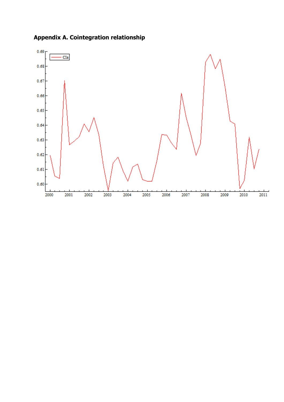

**Appendix A. Cointegration relationship**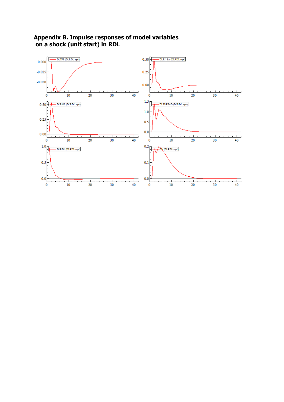

**Appendix B. Impulse responses of model variables on a shock (unit start) in RDL**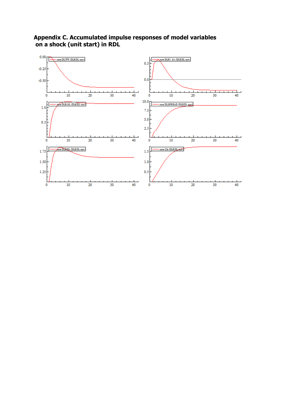

**Appendix C. Accumulated impulse responses of model variables on a shock (unit start) in RDL**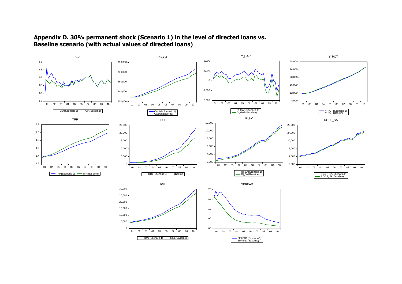

### **Appendix D. 30% permanent shock (Scenario 1) in the level of directed loans vs. Baseline scenario (with actual values of directed loans)**